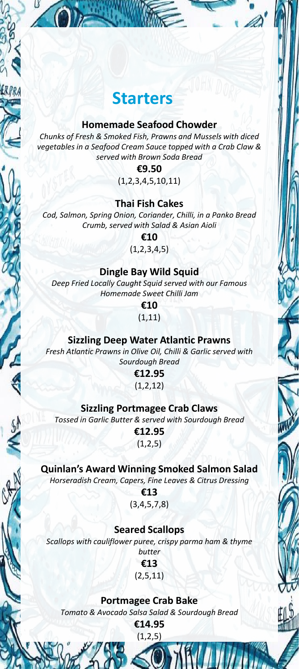# **Starters**

ER.PR.

#### **Homemade Seafood Chowder**

*Chunks of Fresh & Smoked Fish, Prawns and Mussels with diced vegetables in a Seafood Cream Sauce topped with a Crab Claw & served with Brown Soda Bread*

#### **€9.50**

(1,2,3,4,5,10,11)

#### **Thai Fish Cakes**

*Cod, Salmon, Spring Onion, Coriander, Chilli, in a Panko Bread Crumb, served with Salad & Asian Aioli*

**€10**

 $(1,2,3,4,5)$ 

#### **Dingle Bay Wild Squid**

*Deep Fried Locally Caught Squid served with our Famous Homemade Sweet Chilli Jam*

> **€10** (1,11)

#### **Sizzling Deep Water Atlantic Prawns**

*Fresh Atlantic Prawns in Olive Oil, Chilli & Garlic served with Sourdough Bread*

> **€12.95** (1,2,12)

#### **Sizzling Portmagee Crab Claws**

*Tossed in Garlic Butter & served with Sourdough Bread* 

**€12.95**  $(1,2,5)$ 

## **Quinlan's Award Winning Smoked Salmon Salad**

*Horseradish Cream, Capers, Fine Leaves & Citrus Dressing*

**€13** (3,4,5,7,8)

#### **Seared Scallops**

*Scallops with cauliflower puree, crispy parma ham & thyme butter*

> **€13** (2,5,11)

#### **Portmagee Crab Bake**

*Tomato & Avocado Salsa Salad & Sourdough Bread*

**€14.95**  $(1, 2, 5)$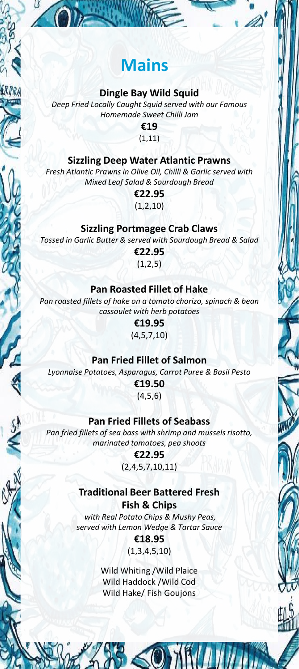# **Mains**

### **Dingle Bay Wild Squid**

ERPRA

*Deep Fried Locally Caught Squid served with our Famous Homemade Sweet Chilli Jam*

> **€19** (1,11)

## **Sizzling Deep Water Atlantic Prawns**

*Fresh Atlantic Prawns in Olive Oil, Chilli & Garlic served with Mixed Leaf Salad & Sourdough Bread*

> **€22.95** (1,2,10)

### **Sizzling Portmagee Crab Claws**

*Tossed in Garlic Butter & served with Sourdough Bread & Salad*

**€22.95**  $(1,2,5)$ 

### **Pan Roasted Fillet of Hake**

*Pan roasted fillets of hake on a tomato chorizo, spinach & bean cassoulet with herb potatoes*

> **€19.95** (4,5,7,10)

#### **Pan Fried Fillet of Salmon**

*Lyonnaise Potatoes, Asparagus, Carrot Puree & Basil Pesto*

**€19.50** (4,5,6)

#### **Pan Fried Fillets of Seabass**

*Pan fried fillets of sea bass with shrimp and mussels risotto, marinated tomatoes, pea shoots*

> **€22.95** (2,4,5,7,10,11)

#### **Traditional Beer Battered Fresh**

**Fish & Chips** *with Real Potato Chips & Mushy Peas, served with Lemon Wedge & Tartar Sauce* **€18.95**

(1,3,4,5,10)

Wild Whiting /Wild Plaice Wild Haddock /Wild Cod Wild Hake/ Fish Goujons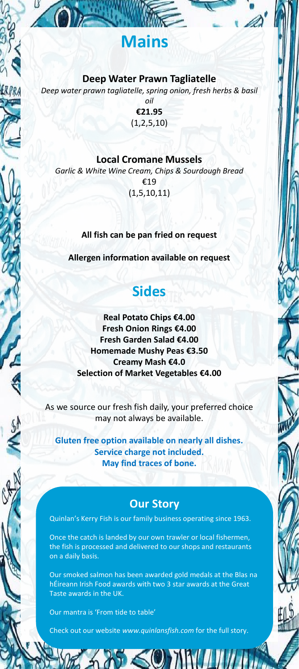# **Mains**

#### **Deep Water Prawn Tagliatelle**

*Deep water prawn tagliatelle, spring onion, fresh herbs & basil* 

*oil* **€21.95**  $(1, 2, 5, 10)$ 

#### **Local Cromane Mussels**

*Garlic & White Wine Cream, Chips & Sourdough Bread* €19 (1,5,10,11)

**All fish can be pan fried on request**

**Allergen information available on request**

# **Sides**

**Real Potato Chips €4.00 Fresh Onion Rings €4.00 Fresh Garden Salad €4.00 Homemade Mushy Peas €3.50 Creamy Mash €4.0 Selection of Market Vegetables €4.00**

As we source our fresh fish daily, your preferred choice may not always be available.

**Gluten free option available on nearly all dishes. Service charge not included. May find traces of bone.**

## **Our Story**

Quinlan's Kerry Fish is our family business operating since 1963.

Once the catch is landed by our own trawler or local fishermen, the fish is processed and delivered to our shops and restaurants on a daily basis.

Our smoked salmon has been awarded gold medals at the Blas na hÉireann Irish Food awards with two 3 star awards at the Great Taste awards in the UK.

Our mantra is 'From tide to table'

Check out our website *www.quinlansfish.com* for the full story.

 $\leq 0$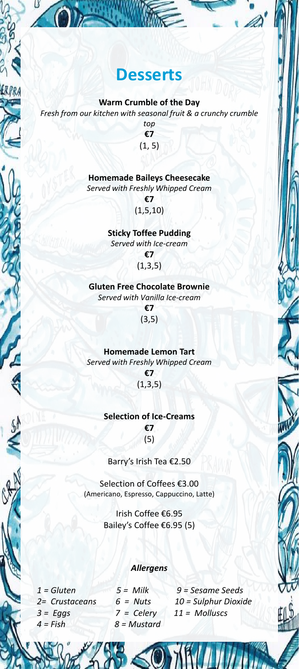

# **Desserts**

</del>

**Warm Crumble of the Day** *Fresh from our kitchen with seasonal fruit & a crunchy crumble* 

*top* **€7** (1, 5)

#### **Homemade Baileys Cheesecake** *Served with Freshly Whipped Cream*

**€7** (1,5,10)

**Sticky Toffee Pudding** *Served with Ice-cream* **€7**  $(1,3,5)$ 

**Gluten Free Chocolate Brownie** *Served with Vanilla Ice-cream* **€7** (3,5)

**Homemade Lemon Tart** *Served with Freshly Whipped Cream* **€7**

 $(1,3,5)$ 

## **Selection of Ice-Creams**

**€7** (5)

#### Barry's Irish Tea €2.50

Selection of Coffees €3.00 (Americano, Espresso, Cappuccino, Latte)

> Irish Coffee €6.95 Bailey's Coffee €6.95 (5)

#### *Allergens*

*3 = Eggs 7 = Celery 11 = Molluscs 4 = Fish 8 = Mustard*

*1 = Gluten 5 = Milk 9 = Sesame Seeds 2= Crustaceans 6 = Nuts 10 = Sulphur Dioxide*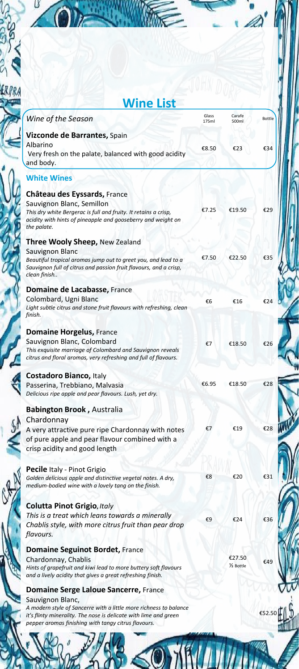

*pepper aromas finishing with tangy citrus flavours.*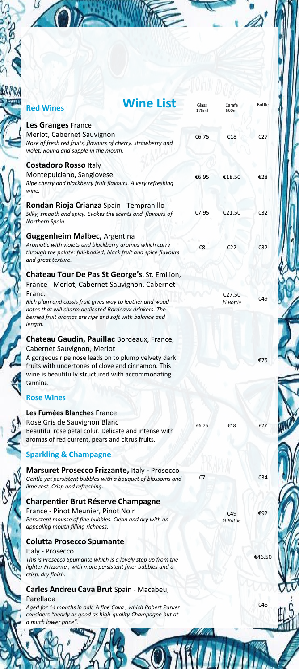

CA

|                                                                                                                                                                         | <b>Wine List</b> | Glass | Carafe               | <b>Bottle</b> |
|-------------------------------------------------------------------------------------------------------------------------------------------------------------------------|------------------|-------|----------------------|---------------|
| <b>Red Wines</b>                                                                                                                                                        |                  | 175ml | 500ml                |               |
| Les Granges France                                                                                                                                                      |                  |       |                      |               |
| Merlot, Cabernet Sauvignon                                                                                                                                              |                  | €6.75 | €18                  | €27           |
| Nose of fresh red fruits, flavours of cherry, strawberry and<br>violet. Round and supple in the mouth.                                                                  |                  |       |                      |               |
| <b>Costadoro Rosso Italy</b>                                                                                                                                            |                  |       |                      |               |
| Montepulciano, Sangiovese                                                                                                                                               |                  | €6.95 | €18.50               | €28           |
| Ripe cherry and blackberry fruit flavours. A very refreshing<br>wine.                                                                                                   |                  |       |                      |               |
| Rondan Rioja Crianza Spain - Tempranillo                                                                                                                                |                  |       |                      |               |
| Silky, smooth and spicy. Evokes the scents and flavours of<br>Northern Spain.                                                                                           |                  | €7.95 | €21.50               | €32           |
| <b>Guggenheim Malbec, Argentina</b>                                                                                                                                     |                  |       |                      |               |
| Aromatic with violets and blackberry aromas which carry<br>through the palate: full-bodied, black fruit and spice flavours                                              |                  | €8    | €22                  | €32           |
| and great texture.                                                                                                                                                      |                  |       |                      |               |
| Chateau Tour De Pas St George's, St. Emilion,                                                                                                                           |                  |       |                      |               |
| France - Merlot, Cabernet Sauvignon, Cabernet                                                                                                                           |                  |       |                      |               |
| Franc.                                                                                                                                                                  |                  |       | €27.50               | €49           |
| Rich plum and cassis fruit gives way to leather and wood                                                                                                                |                  |       | 1/ <sub>Bottle</sub> |               |
| notes that will charm dedicated Bordeaux drinkers. The<br>berried fruit aromas are ripe and soft with balance and<br>length.                                            |                  |       |                      |               |
| Chateau Gaudin, Pauillac Bordeaux, France,                                                                                                                              |                  |       |                      |               |
| Cabernet Sauvignon, Merlot                                                                                                                                              |                  |       |                      |               |
| A gorgeous ripe nose leads on to plump velvety dark<br>fruits with undertones of clove and cinnamon. This                                                               |                  |       |                      | €75           |
| wine is beautifully structured with accommodating<br>tannins.                                                                                                           |                  |       |                      |               |
|                                                                                                                                                                         |                  |       |                      |               |
| <b>Rose Wines</b>                                                                                                                                                       |                  |       |                      |               |
| Les Fumées Blanches France                                                                                                                                              |                  |       |                      |               |
| Rose Gris de Sauvignon Blanc                                                                                                                                            |                  | €6.75 | €18                  | €27           |
| Beautiful rose petal colur. Delicate and intense with<br>aromas of red current, pears and citrus fruits.                                                                |                  |       |                      |               |
| <b>Sparkling &amp; Champagne</b>                                                                                                                                        |                  |       |                      |               |
| <b>Marsuret Prosecco Frizzante, Italy - Prosecco</b>                                                                                                                    |                  |       |                      |               |
| Gentle yet persistent bubbles with a bouquet of blossoms and<br>lime zest. Crisp and refreshing.                                                                        |                  | €7    |                      | €34           |
|                                                                                                                                                                         |                  |       |                      |               |
|                                                                                                                                                                         |                  |       |                      |               |
| <b>Charpentier Brut Réserve Champagne</b>                                                                                                                               |                  |       |                      |               |
|                                                                                                                                                                         |                  |       | €49<br>1/2 Bottle    |               |
| France - Pinot Meunier, Pinot Noir<br>Persistent mousse of fine bubbles. Clean and dry with an<br>appealing mouth filling richness.<br><b>Colutta Prosecco Spumante</b> |                  |       |                      |               |
| Italy - Prosecco                                                                                                                                                        |                  |       |                      |               |
| This is Prosecco Spumante which is a lovely step up from the<br>lighter Frizzante, with more persistent finer bubbles and a<br>crisp, dry finish.                       |                  |       |                      |               |
| Carles Andreu Cava Brut Spain - Macabeu,                                                                                                                                |                  |       |                      |               |
| Parellada                                                                                                                                                               |                  |       |                      | €92<br>€46.50 |
| Aged for 14 months in oak, A fine Cava, which Robert Parker<br>considers "nearly as good as high-quality Champagne but at<br>a much lower price".                       |                  |       |                      | €46           |

ľ

C.

印